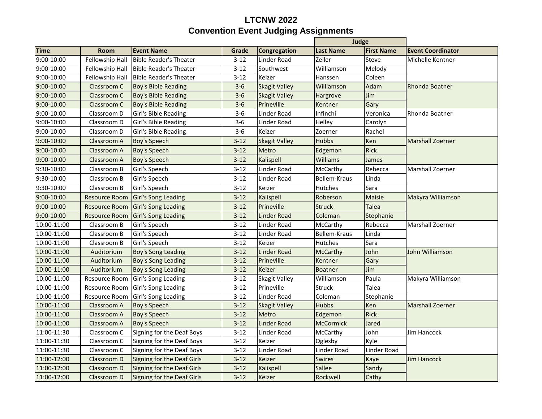## **LTCNW 2022 Convention Event Judging Assignments**

|             |                      |                                   |          |                      | Judge            |                   |                          |
|-------------|----------------------|-----------------------------------|----------|----------------------|------------------|-------------------|--------------------------|
| <b>Time</b> | Room                 | <b>Event Name</b>                 | Grade    | Congregation         | <b>Last Name</b> | <b>First Name</b> | <b>Event Coordinator</b> |
| 9:00-10:00  | Fellowship Hall      | <b>Bible Reader's Theater</b>     | $3 - 12$ | Linder Road          | Zeller           | Steve             | Michelle Kentner         |
| 9:00-10:00  | Fellowship Hall      | <b>Bible Reader's Theater</b>     | $3 - 12$ | Southwest            | Williamson       | Melody            |                          |
| 9:00-10:00  | Fellowship Hall      | <b>Bible Reader's Theater</b>     | $3 - 12$ | Keizer               | Hanssen          | Coleen            |                          |
| 9:00-10:00  | Classroom C          | <b>Boy's Bible Reading</b>        | $3 - 6$  | <b>Skagit Valley</b> | Williamson       | Adam              | <b>Rhonda Boatner</b>    |
| 9:00-10:00  | Classroom C          | <b>Boy's Bible Reading</b>        | $3-6$    | <b>Skagit Valley</b> | Hargrove         | Jim               |                          |
| 9:00-10:00  | Classroom C          | <b>Boy's Bible Reading</b>        | $3-6$    | Prineville           | Kentner          | Gary              |                          |
| 9:00-10:00  | Classroom D          | Girl's Bible Reading              | $3-6$    | Linder Road          | Infinchi         | Veronica          | Rhonda Boatner           |
| 9:00-10:00  | Classroom D          | Girl's Bible Reading              | $3-6$    | Linder Road          | Helley           | Carolyn           |                          |
| 9:00-10:00  | Classroom D          | Girl's Bible Reading              | $3-6$    | Keizer               | Zoerner          | Rachel            |                          |
| 9:00-10:00  | Classroom A          | <b>Boy's Speech</b>               | $3 - 12$ | <b>Skagit Valley</b> | <b>Hubbs</b>     | Ken               | <b>Marshall Zoerner</b>  |
| 9:00-10:00  | Classroom A          | <b>Boy's Speech</b>               | $3-12$   | Metro                | Edgemon          | <b>Rick</b>       |                          |
| 9:00-10:00  | Classroom A          | <b>Boy's Speech</b>               | $3 - 12$ | Kalispell            | Williams         | James             |                          |
| 9:30-10:00  | Classroom B          | Girl's Speech                     | $3 - 12$ | Linder Road          | McCarthy         | Rebecca           | Marshall Zoerner         |
| 9:30-10:00  | Classroom B          | Girl's Speech                     | $3 - 12$ | Linder Road          | Bellem-Kraus     | Linda             |                          |
| 9:30-10:00  | Classroom B          | Girl's Speech                     | $3 - 12$ | Keizer               | Hutches          | Sara              |                          |
| 9:00-10:00  | <b>Resource Room</b> | <b>Girl's Song Leading</b>        | $3 - 12$ | Kalispell            | Roberson         | Maisie            | Makyra Williamson        |
| 9:00-10:00  | <b>Resource Room</b> | <b>Girl's Song Leading</b>        | $3 - 12$ | Prineville           | <b>Struck</b>    | <b>Talea</b>      |                          |
| 9:00-10:00  | <b>Resource Room</b> | <b>Girl's Song Leading</b>        | $3 - 12$ | <b>Linder Road</b>   | Coleman          | Stephanie         |                          |
| 10:00-11:00 | Classroom B          | Girl's Speech                     | $3 - 12$ | Linder Road          | McCarthy         | Rebecca           | Marshall Zoerner         |
| 10:00-11:00 | Classroom B          | Girl's Speech                     | $3 - 12$ | Linder Road          | Bellem-Kraus     | Linda             |                          |
| 10:00-11:00 | Classroom B          | Girl's Speech                     | $3 - 12$ | Keizer               | <b>Hutches</b>   | Sara              |                          |
| 10:00-11:00 | Auditorium           | Boy's Song Leading                | $3 - 12$ | <b>Linder Road</b>   | <b>McCarthy</b>  | John              | John Williamson          |
| 10:00-11:00 | Auditorium           | <b>Boy's Song Leading</b>         | $3 - 12$ | Prineville           | Kentner          | Gary              |                          |
| 10:00-11:00 | Auditorium           | <b>Boy's Song Leading</b>         | $3 - 12$ | Keizer               | <b>Boatner</b>   | Jim               |                          |
| 10:00-11:00 | <b>Resource Room</b> | Girl's Song Leading               | $3 - 12$ | Skagit Valley        | Williamson       | Paula             | Makyra Williamson        |
| 10:00-11:00 | Resource Room        | Girl's Song Leading               | $3 - 12$ | Prineville           | <b>Struck</b>    | Talea             |                          |
| 10:00-11:00 | <b>Resource Room</b> | Girl's Song Leading               | $3 - 12$ | Linder Road          | Coleman          | Stephanie         |                          |
| 10:00-11:00 | Classroom A          | <b>Boy's Speech</b>               | $3 - 12$ | <b>Skagit Valley</b> | <b>Hubbs</b>     | Ken               | <b>Marshall Zoerner</b>  |
| 10:00-11:00 | Classroom A          | <b>Boy's Speech</b>               | $3-12$   | Metro                | Edgemon          | <b>Rick</b>       |                          |
| 10:00-11:00 | Classroom A          | <b>Boy's Speech</b>               | $3 - 12$ | <b>Linder Road</b>   | <b>McCormick</b> | Jared             |                          |
| 11:00-11:30 | Classroom C          | Signing for the Deaf Boys         | $3 - 12$ | Linder Road          | McCarthy         | John              | Jim Hancock              |
| 11:00-11:30 | Classroom C          | Signing for the Deaf Boys         | $3 - 12$ | Keizer               | Oglesby          | Kyle              |                          |
| 11:00-11:30 | Classroom C          | Signing for the Deaf Boys         | $3 - 12$ | Linder Road          | Linder Road      | Linder Road       |                          |
| 11:00-12:00 | Classroom D          | <b>Signing for the Deaf Girls</b> | $3 - 12$ | Keizer               | <b>Swires</b>    | Kaye              | <b>Jim Hancock</b>       |
| 11:00-12:00 | Classroom D          | <b>Signing for the Deaf Girls</b> | $3 - 12$ | Kalispell            | Sallee           | Sandy             |                          |
| 11:00-12:00 | Classroom D          | Signing for the Deaf Girls        | $3-12$   | Keizer               | Rockwell         | Cathy             |                          |